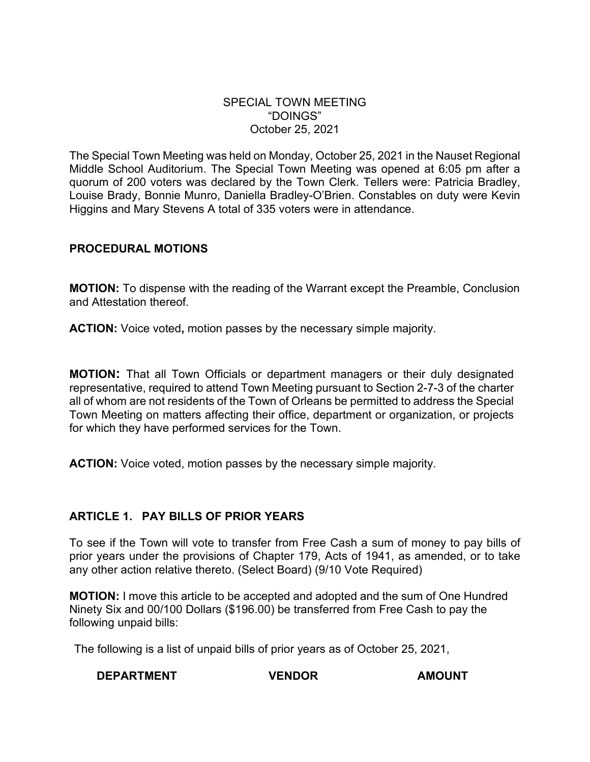### SPECIAL TOWN MEETING "DOINGS" October 25, 2021

The Special Town Meeting was held on Monday, October 25, 2021 in the Nauset Regional Middle School Auditorium. The Special Town Meeting was opened at 6:05 pm after a quorum of 200 voters was declared by the Town Clerk. Tellers were: Patricia Bradley, Louise Brady, Bonnie Munro, Daniella Bradley-O'Brien. Constables on duty were Kevin Higgins and Mary Stevens A total of 335 voters were in attendance.

## **PROCEDURAL MOTIONS**

**MOTION:** To dispense with the reading of the Warrant except the Preamble, Conclusion and Attestation thereof.

**ACTION:** Voice voted**,** motion passes by the necessary simple majority.

**MOTION:** That all Town Officials or department managers or their duly designated representative, required to attend Town Meeting pursuant to Section 2-7-3 of the charter all of whom are not residents of the Town of Orleans be permitted to address the Special Town Meeting on matters affecting their office, department or organization, or projects for which they have performed services for the Town.

**ACTION:** Voice voted, motion passes by the necessary simple majority.

### **ARTICLE 1. PAY BILLS OF PRIOR YEARS**

To see if the Town will vote to transfer from Free Cash a sum of money to pay bills of prior years under the provisions of Chapter 179, Acts of 1941, as amended, or to take any other action relative thereto. (Select Board) (9/10 Vote Required)

**MOTION:** I move this article to be accepted and adopted and the sum of One Hundred Ninety Six and 00/100 Dollars (\$196.00) be transferred from Free Cash to pay the following unpaid bills:

The following is a list of unpaid bills of prior years as of October 25, 2021,

# **DEPARTMENT VENDOR AMOUNT**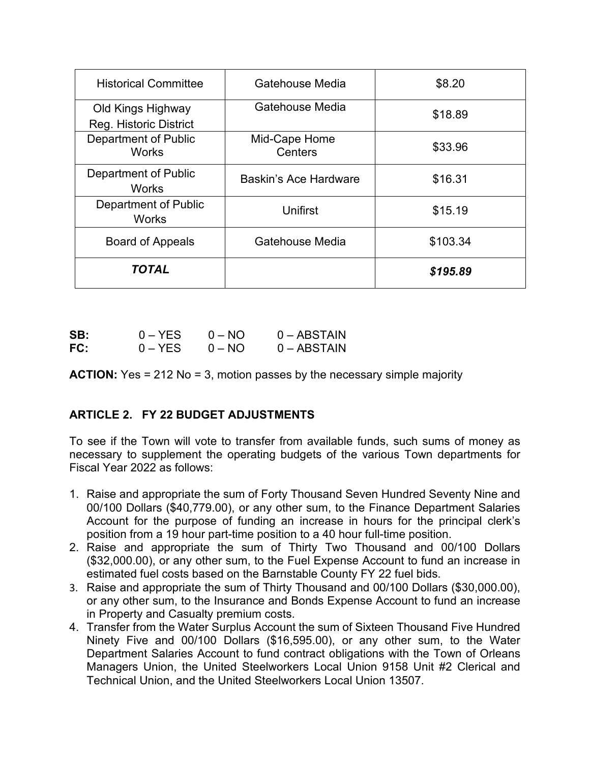| <b>Historical Committee</b>                 | Gatehouse Media          | \$8.20   |
|---------------------------------------------|--------------------------|----------|
| Old Kings Highway<br>Reg. Historic District | Gatehouse Media          | \$18.89  |
| <b>Department of Public</b><br><b>Works</b> | Mid-Cape Home<br>Centers | \$33.96  |
| Department of Public<br><b>Works</b>        | Baskin's Ace Hardware    | \$16.31  |
| Department of Public<br><b>Works</b>        | Unifirst                 | \$15.19  |
| <b>Board of Appeals</b>                     | Gatehouse Media          | \$103.34 |
| <b>TOTAL</b>                                |                          | \$195.89 |

| SB: | $0 - YES$ | $0 - NO$ | $0 - ABSTAIN$ |
|-----|-----------|----------|---------------|
| FC: | $0 - YES$ | $0 - NO$ | $0 - ABSTAIN$ |

**ACTION:** Yes = 212 No = 3, motion passes by the necessary simple majority

# **ARTICLE 2. FY 22 BUDGET ADJUSTMENTS**

To see if the Town will vote to transfer from available funds, such sums of money as necessary to supplement the operating budgets of the various Town departments for Fiscal Year 2022 as follows:

- 1. Raise and appropriate the sum of Forty Thousand Seven Hundred Seventy Nine and 00/100 Dollars (\$40,779.00), or any other sum, to the Finance Department Salaries Account for the purpose of funding an increase in hours for the principal clerk's position from a 19 hour part-time position to a 40 hour full-time position.
- 2. Raise and appropriate the sum of Thirty Two Thousand and 00/100 Dollars (\$32,000.00), or any other sum, to the Fuel Expense Account to fund an increase in estimated fuel costs based on the Barnstable County FY 22 fuel bids.
- 3. Raise and appropriate the sum of Thirty Thousand and 00/100 Dollars (\$30,000.00), or any other sum, to the Insurance and Bonds Expense Account to fund an increase in Property and Casualty premium costs.
- 4. Transfer from the Water Surplus Account the sum of Sixteen Thousand Five Hundred Ninety Five and 00/100 Dollars (\$16,595.00), or any other sum, to the Water Department Salaries Account to fund contract obligations with the Town of Orleans Managers Union, the United Steelworkers Local Union 9158 Unit #2 Clerical and Technical Union, and the United Steelworkers Local Union 13507.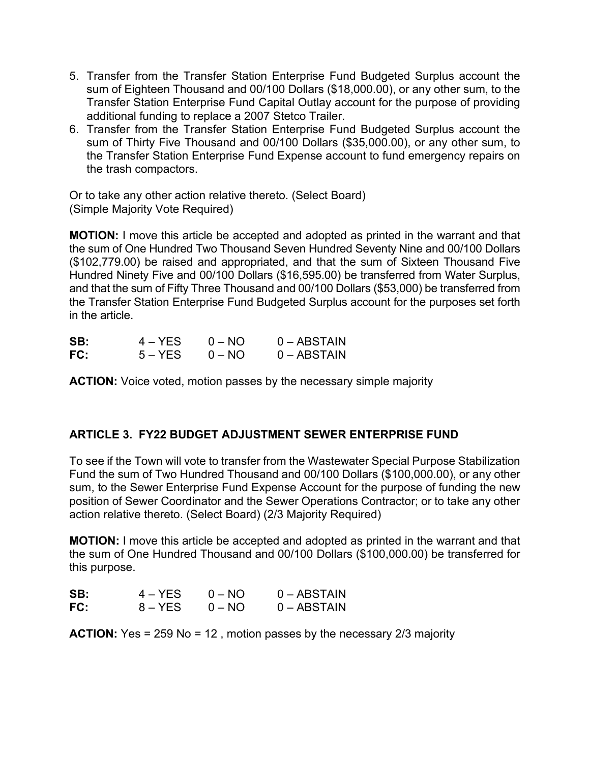- 5. Transfer from the Transfer Station Enterprise Fund Budgeted Surplus account the sum of Eighteen Thousand and 00/100 Dollars (\$18,000.00), or any other sum, to the Transfer Station Enterprise Fund Capital Outlay account for the purpose of providing additional funding to replace a 2007 Stetco Trailer.
- 6. Transfer from the Transfer Station Enterprise Fund Budgeted Surplus account the sum of Thirty Five Thousand and 00/100 Dollars (\$35,000.00), or any other sum, to the Transfer Station Enterprise Fund Expense account to fund emergency repairs on the trash compactors.

Or to take any other action relative thereto. (Select Board) (Simple Majority Vote Required)

**MOTION:** I move this article be accepted and adopted as printed in the warrant and that the sum of One Hundred Two Thousand Seven Hundred Seventy Nine and 00/100 Dollars (\$102,779.00) be raised and appropriated, and that the sum of Sixteen Thousand Five Hundred Ninety Five and 00/100 Dollars (\$16,595.00) be transferred from Water Surplus, and that the sum of Fifty Three Thousand and 00/100 Dollars (\$53,000) be transferred from the Transfer Station Enterprise Fund Budgeted Surplus account for the purposes set forth in the article.

| SB: | $4 - YES$ | $0 - NO$ | $0 - ABSTAIN$ |
|-----|-----------|----------|---------------|
| FC: | $5 - YES$ | $0 - NO$ | $0 - ABSTAIN$ |

**ACTION:** Voice voted, motion passes by the necessary simple majority

# **ARTICLE 3. FY22 BUDGET ADJUSTMENT SEWER ENTERPRISE FUND**

To see if the Town will vote to transfer from the Wastewater Special Purpose Stabilization Fund the sum of Two Hundred Thousand and 00/100 Dollars (\$100,000.00), or any other sum, to the Sewer Enterprise Fund Expense Account for the purpose of funding the new position of Sewer Coordinator and the Sewer Operations Contractor; or to take any other action relative thereto. (Select Board) (2/3 Majority Required)

**MOTION:** I move this article be accepted and adopted as printed in the warrant and that the sum of One Hundred Thousand and 00/100 Dollars (\$100,000.00) be transferred for this purpose.

| SB: | $4 - YES$ | $0 - NQ$ | $0 - ABSTAIN$ |
|-----|-----------|----------|---------------|
| FC: | $8 - YES$ | $0 - NO$ | $0 - ABSTAIN$ |

**ACTION:** Yes = 259 No = 12 , motion passes by the necessary 2/3 majority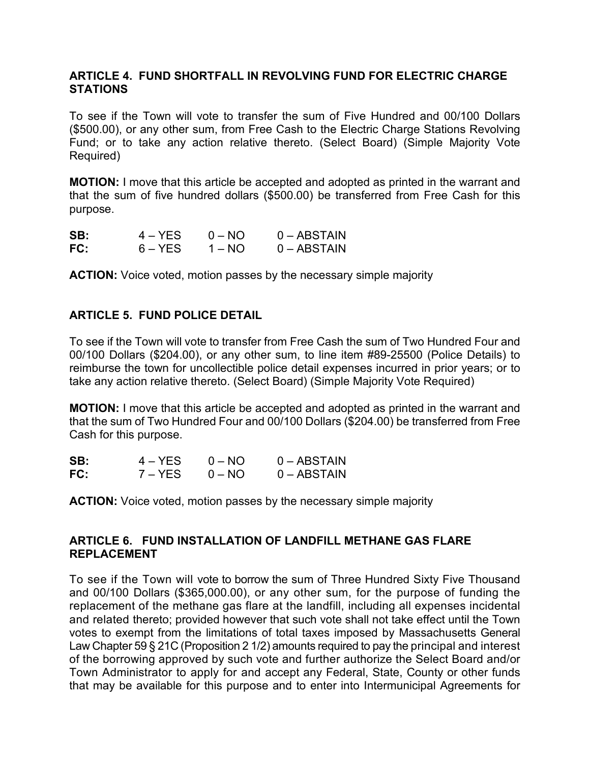### **ARTICLE 4. FUND SHORTFALL IN REVOLVING FUND FOR ELECTRIC CHARGE STATIONS**

To see if the Town will vote to transfer the sum of Five Hundred and 00/100 Dollars (\$500.00), or any other sum, from Free Cash to the Electric Charge Stations Revolving Fund; or to take any action relative thereto. (Select Board) (Simple Majority Vote Required)

**MOTION:** I move that this article be accepted and adopted as printed in the warrant and that the sum of five hundred dollars (\$500.00) be transferred from Free Cash for this purpose.

| SB: | $4 - YES$ | $0 - NO$ | $0 - ABSTAIN$ |
|-----|-----------|----------|---------------|
| FC: | $6 - YES$ | $1 - NO$ | $0 - ABSTAIN$ |

**ACTION:** Voice voted, motion passes by the necessary simple majority

## **ARTICLE 5. FUND POLICE DETAIL**

To see if the Town will vote to transfer from Free Cash the sum of Two Hundred Four and 00/100 Dollars (\$204.00), or any other sum, to line item #89-25500 (Police Details) to reimburse the town for uncollectible police detail expenses incurred in prior years; or to take any action relative thereto. (Select Board) (Simple Majority Vote Required)

**MOTION:** I move that this article be accepted and adopted as printed in the warrant and that the sum of Two Hundred Four and 00/100 Dollars (\$204.00) be transferred from Free Cash for this purpose.

| SB: | $4 - YFS$ | $0 - \text{NO}$ | $0 - ABSTAIN$ |
|-----|-----------|-----------------|---------------|
| FC: | 7 – YES   | $0 - NO$        | $0 - ABSTAIN$ |

**ACTION:** Voice voted, motion passes by the necessary simple majority

### **ARTICLE 6. FUND INSTALLATION OF LANDFILL METHANE GAS FLARE REPLACEMENT**

To see if the Town will vote to borrow the sum of Three Hundred Sixty Five Thousand and 00/100 Dollars (\$365,000.00), or any other sum, for the purpose of funding the replacement of the methane gas flare at the landfill, including all expenses incidental and related thereto; provided however that such vote shall not take effect until the Town votes to exempt from the limitations of total taxes imposed by Massachusetts General Law Chapter 59 § 21C (Proposition 2 1/2) amounts required to pay the principal and interest of the borrowing approved by such vote and further authorize the Select Board and/or Town Administrator to apply for and accept any Federal, State, County or other funds that may be available for this purpose and to enter into Intermunicipal Agreements for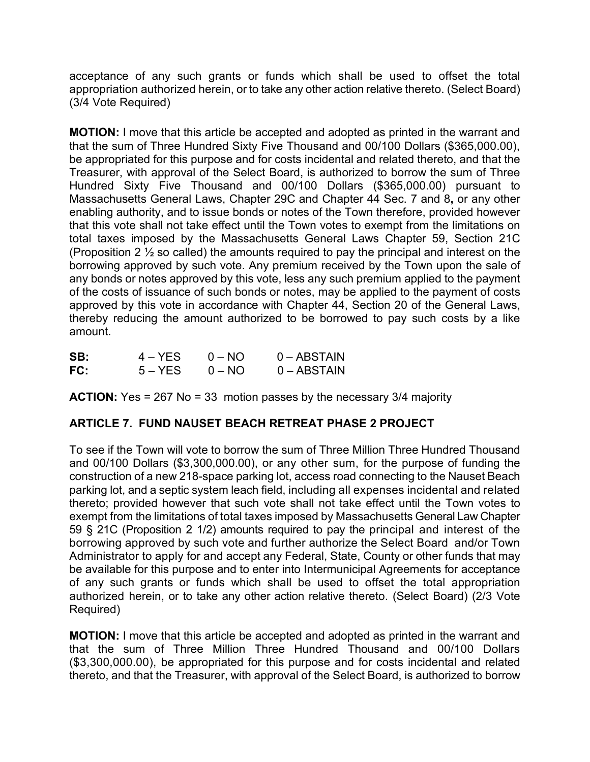acceptance of any such grants or funds which shall be used to offset the total appropriation authorized herein, or to take any other action relative thereto. (Select Board) (3/4 Vote Required)

**MOTION:** I move that this article be accepted and adopted as printed in the warrant and that the sum of Three Hundred Sixty Five Thousand and 00/100 Dollars (\$365,000.00), be appropriated for this purpose and for costs incidental and related thereto, and that the Treasurer, with approval of the Select Board, is authorized to borrow the sum of Three Hundred Sixty Five Thousand and 00/100 Dollars (\$365,000.00) pursuant to Massachusetts General Laws, Chapter 29C and Chapter 44 Sec. 7 and 8**,** or any other enabling authority, and to issue bonds or notes of the Town therefore, provided however that this vote shall not take effect until the Town votes to exempt from the limitations on total taxes imposed by the Massachusetts General Laws Chapter 59, Section 21C (Proposition 2  $\frac{1}{2}$  so called) the amounts required to pay the principal and interest on the borrowing approved by such vote. Any premium received by the Town upon the sale of any bonds or notes approved by this vote, less any such premium applied to the payment of the costs of issuance of such bonds or notes, may be applied to the payment of costs approved by this vote in accordance with Chapter 44, Section 20 of the General Laws, thereby reducing the amount authorized to be borrowed to pay such costs by a like amount.

| SB: | $4 - YES$ | $0 - NO$ | $0 - ABSTAIN$ |
|-----|-----------|----------|---------------|
| FC: | $5 - YES$ | $0 - NO$ | $0 - ABSTAIN$ |

**ACTION:** Yes = 267 No = 33 motion passes by the necessary 3/4 majority

# **ARTICLE 7. FUND NAUSET BEACH RETREAT PHASE 2 PROJECT**

To see if the Town will vote to borrow the sum of Three Million Three Hundred Thousand and 00/100 Dollars (\$3,300,000.00), or any other sum, for the purpose of funding the construction of a new 218-space parking lot, access road connecting to the Nauset Beach parking lot, and a septic system leach field, including all expenses incidental and related thereto; provided however that such vote shall not take effect until the Town votes to exempt from the limitations of total taxes imposed by Massachusetts General Law Chapter 59 § 21C (Proposition 2 1/2) amounts required to pay the principal and interest of the borrowing approved by such vote and further authorize the Select Board and/or Town Administrator to apply for and accept any Federal, State, County or other funds that may be available for this purpose and to enter into Intermunicipal Agreements for acceptance of any such grants or funds which shall be used to offset the total appropriation authorized herein, or to take any other action relative thereto. (Select Board) (2/3 Vote Required)

**MOTION:** I move that this article be accepted and adopted as printed in the warrant and that the sum of Three Million Three Hundred Thousand and 00/100 Dollars (\$3,300,000.00), be appropriated for this purpose and for costs incidental and related thereto, and that the Treasurer, with approval of the Select Board, is authorized to borrow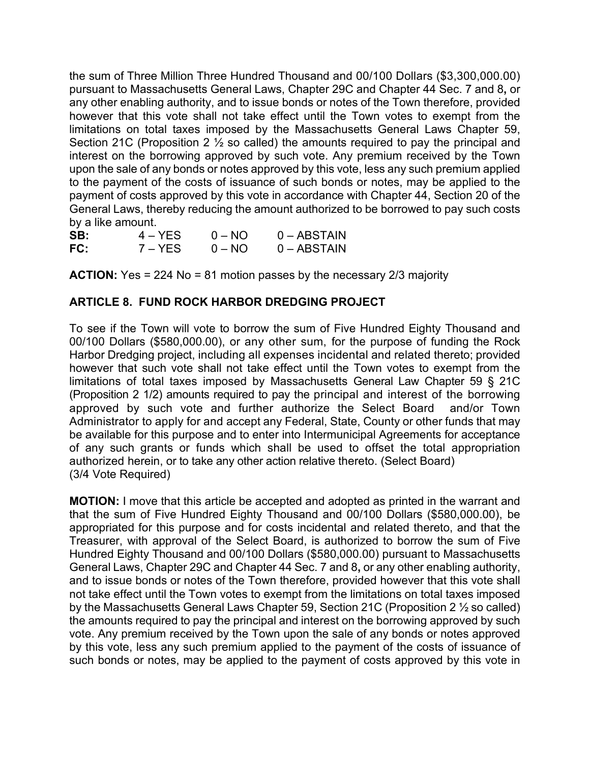the sum of Three Million Three Hundred Thousand and 00/100 Dollars (\$3,300,000.00) pursuant to Massachusetts General Laws, Chapter 29C and Chapter 44 Sec. 7 and 8**,** or any other enabling authority, and to issue bonds or notes of the Town therefore, provided however that this vote shall not take effect until the Town votes to exempt from the limitations on total taxes imposed by the Massachusetts General Laws Chapter 59, Section 21C (Proposition 2 ½ so called) the amounts required to pay the principal and interest on the borrowing approved by such vote. Any premium received by the Town upon the sale of any bonds or notes approved by this vote, less any such premium applied to the payment of the costs of issuance of such bonds or notes, may be applied to the payment of costs approved by this vote in accordance with Chapter 44, Section 20 of the General Laws, thereby reducing the amount authorized to be borrowed to pay such costs by a like amount.

| SB: | $4 - YES$ | $0 - NO$ | $0 - ABSTAIN$ |
|-----|-----------|----------|---------------|
| FC: | 7 – YES   | $0 - NO$ | $0 - ABSTAIN$ |

**ACTION:** Yes = 224 No = 81 motion passes by the necessary 2/3 majority

## **ARTICLE 8. FUND ROCK HARBOR DREDGING PROJECT**

To see if the Town will vote to borrow the sum of Five Hundred Eighty Thousand and 00/100 Dollars (\$580,000.00), or any other sum, for the purpose of funding the Rock Harbor Dredging project, including all expenses incidental and related thereto; provided however that such vote shall not take effect until the Town votes to exempt from the limitations of total taxes imposed by Massachusetts General Law Chapter 59 § 21C (Proposition 2 1/2) amounts required to pay the principal and interest of the borrowing approved by such vote and further authorize the Select Board and/or Town Administrator to apply for and accept any Federal, State, County or other funds that may be available for this purpose and to enter into Intermunicipal Agreements for acceptance of any such grants or funds which shall be used to offset the total appropriation authorized herein, or to take any other action relative thereto. (Select Board) (3/4 Vote Required)

**MOTION:** I move that this article be accepted and adopted as printed in the warrant and that the sum of Five Hundred Eighty Thousand and 00/100 Dollars (\$580,000.00), be appropriated for this purpose and for costs incidental and related thereto, and that the Treasurer, with approval of the Select Board, is authorized to borrow the sum of Five Hundred Eighty Thousand and 00/100 Dollars (\$580,000.00) pursuant to Massachusetts General Laws, Chapter 29C and Chapter 44 Sec. 7 and 8**,** or any other enabling authority, and to issue bonds or notes of the Town therefore, provided however that this vote shall not take effect until the Town votes to exempt from the limitations on total taxes imposed by the Massachusetts General Laws Chapter 59, Section 21C (Proposition 2 ½ so called) the amounts required to pay the principal and interest on the borrowing approved by such vote. Any premium received by the Town upon the sale of any bonds or notes approved by this vote, less any such premium applied to the payment of the costs of issuance of such bonds or notes, may be applied to the payment of costs approved by this vote in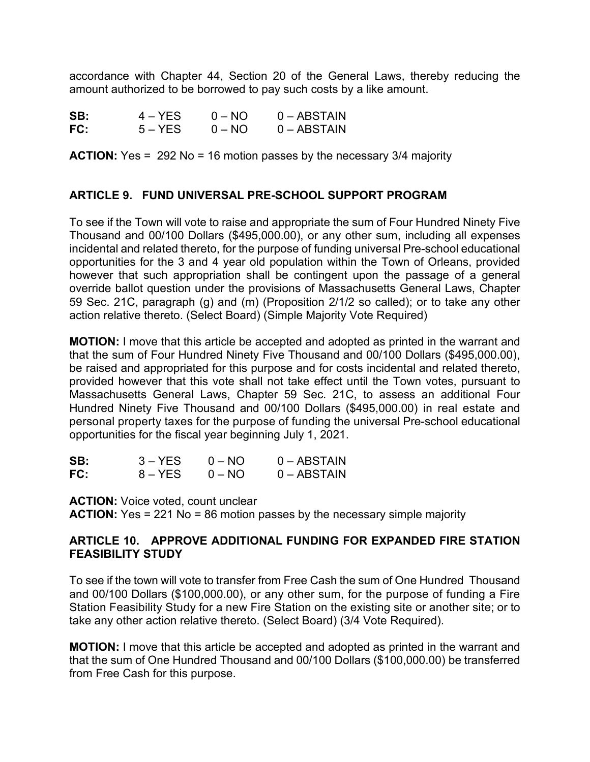accordance with Chapter 44, Section 20 of the General Laws, thereby reducing the amount authorized to be borrowed to pay such costs by a like amount.

| SB: | $4 - YES$ | $0 - NO$ | $0 - ABSTAIN$ |
|-----|-----------|----------|---------------|
| FC: | $5 - YES$ | $0 - NO$ | $0 - ABSTAIN$ |

**ACTION:** Yes = 292 No = 16 motion passes by the necessary 3/4 majority

### **ARTICLE 9. FUND UNIVERSAL PRE-SCHOOL SUPPORT PROGRAM**

To see if the Town will vote to raise and appropriate the sum of Four Hundred Ninety Five Thousand and 00/100 Dollars (\$495,000.00), or any other sum, including all expenses incidental and related thereto, for the purpose of funding universal Pre-school educational opportunities for the 3 and 4 year old population within the Town of Orleans, provided however that such appropriation shall be contingent upon the passage of a general override ballot question under the provisions of Massachusetts General Laws, Chapter 59 Sec. 21C, paragraph (g) and (m) (Proposition 2/1/2 so called); or to take any other action relative thereto. (Select Board) (Simple Majority Vote Required)

**MOTION:** I move that this article be accepted and adopted as printed in the warrant and that the sum of Four Hundred Ninety Five Thousand and 00/100 Dollars (\$495,000.00), be raised and appropriated for this purpose and for costs incidental and related thereto, provided however that this vote shall not take effect until the Town votes, pursuant to Massachusetts General Laws, Chapter 59 Sec. 21C, to assess an additional Four Hundred Ninety Five Thousand and 00/100 Dollars (\$495,000.00) in real estate and personal property taxes for the purpose of funding the universal Pre-school educational opportunities for the fiscal year beginning July 1, 2021.

| SB: | $3 - YES$ | $0 - NQ$ | $0 - ABSTAIN$ |
|-----|-----------|----------|---------------|
| FC: | 8 – YES   | $0 - NO$ | $0 - ABSTAIN$ |

**ACTION:** Voice voted, count unclear **ACTION:** Yes = 221 No = 86 motion passes by the necessary simple majority

#### **ARTICLE 10. APPROVE ADDITIONAL FUNDING FOR EXPANDED FIRE STATION FEASIBILITY STUDY**

To see if the town will vote to transfer from Free Cash the sum of One Hundred Thousand and 00/100 Dollars (\$100,000.00), or any other sum, for the purpose of funding a Fire Station Feasibility Study for a new Fire Station on the existing site or another site; or to take any other action relative thereto. (Select Board) (3/4 Vote Required).

**MOTION:** I move that this article be accepted and adopted as printed in the warrant and that the sum of One Hundred Thousand and 00/100 Dollars (\$100,000.00) be transferred from Free Cash for this purpose.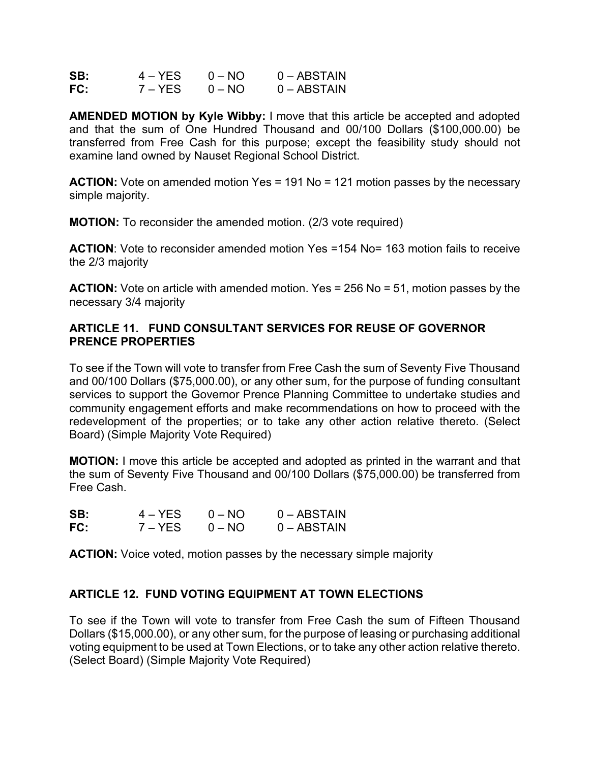| SB: | 4 – YES | $0 - NO$ | $0 - ABSTAIN$ |
|-----|---------|----------|---------------|
| FC: | 7 – YES | $0 - NO$ | $0 - ABSTAIN$ |

**AMENDED MOTION by Kyle Wibby:** I move that this article be accepted and adopted and that the sum of One Hundred Thousand and 00/100 Dollars (\$100,000.00) be transferred from Free Cash for this purpose; except the feasibility study should not examine land owned by Nauset Regional School District.

**ACTION:** Vote on amended motion Yes = 191 No = 121 motion passes by the necessary simple majority.

**MOTION:** To reconsider the amended motion. (2/3 vote required)

**ACTION**: Vote to reconsider amended motion Yes =154 No= 163 motion fails to receive the 2/3 majority

**ACTION:** Vote on article with amended motion. Yes = 256 No = 51, motion passes by the necessary 3/4 majority

### **ARTICLE 11. FUND CONSULTANT SERVICES FOR REUSE OF GOVERNOR PRENCE PROPERTIES**

To see if the Town will vote to transfer from Free Cash the sum of Seventy Five Thousand and 00/100 Dollars (\$75,000.00), or any other sum, for the purpose of funding consultant services to support the Governor Prence Planning Committee to undertake studies and community engagement efforts and make recommendations on how to proceed with the redevelopment of the properties; or to take any other action relative thereto. (Select Board) (Simple Majority Vote Required)

**MOTION:** I move this article be accepted and adopted as printed in the warrant and that the sum of Seventy Five Thousand and 00/100 Dollars (\$75,000.00) be transferred from Free Cash.

| SB: | $4 - YFS$ | $0 - NO$ | $0 - ABSTAIN$ |
|-----|-----------|----------|---------------|
| FC: | 7 – YES   | $0 - NO$ | $0 - ABSTAIN$ |

**ACTION:** Voice voted, motion passes by the necessary simple majority

### **ARTICLE 12. FUND VOTING EQUIPMENT AT TOWN ELECTIONS**

To see if the Town will vote to transfer from Free Cash the sum of Fifteen Thousand Dollars (\$15,000.00), or any other sum, for the purpose of leasing or purchasing additional voting equipment to be used at Town Elections, or to take any other action relative thereto. (Select Board) (Simple Majority Vote Required)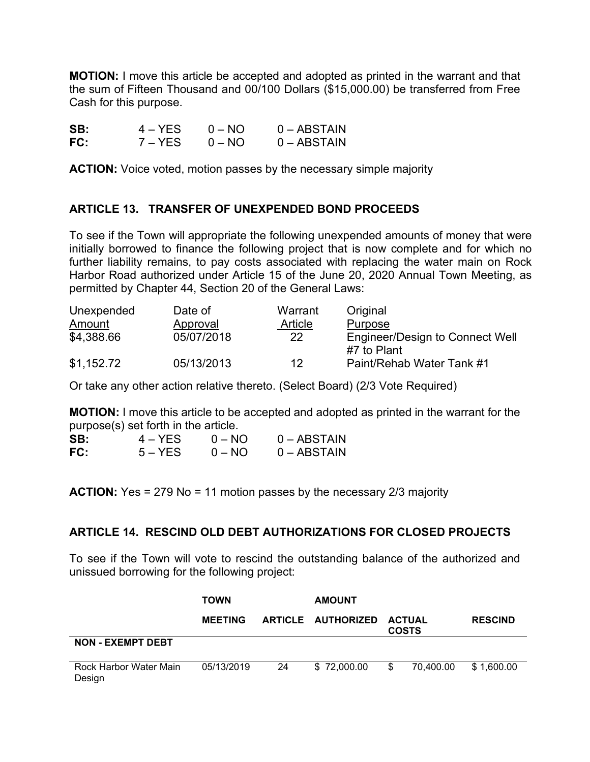**MOTION:** I move this article be accepted and adopted as printed in the warrant and that the sum of Fifteen Thousand and 00/100 Dollars (\$15,000.00) be transferred from Free Cash for this purpose.

| SB: | $4 - YES$ | $0 - NO$ | $0 - ABSTAIN$ |
|-----|-----------|----------|---------------|
| FC: | 7 – YES   | $0 - NO$ | $0 - ABSTAIN$ |

**ACTION:** Voice voted, motion passes by the necessary simple majority

## **ARTICLE 13. TRANSFER OF UNEXPENDED BOND PROCEEDS**

To see if the Town will appropriate the following unexpended amounts of money that were initially borrowed to finance the following project that is now complete and for which no further liability remains, to pay costs associated with replacing the water main on Rock Harbor Road authorized under Article 15 of the June 20, 2020 Annual Town Meeting, as permitted by Chapter 44, Section 20 of the General Laws:

| Unexpended | Date of    | Warrant | Original                                       |
|------------|------------|---------|------------------------------------------------|
| Amount     | Approval   | Article | Purpose                                        |
| \$4,388.66 | 05/07/2018 | 22      | Engineer/Design to Connect Well<br>#7 to Plant |
| \$1,152.72 | 05/13/2013 | 12      | Paint/Rehab Water Tank #1                      |

Or take any other action relative thereto. (Select Board) (2/3 Vote Required)

**MOTION:** I move this article to be accepted and adopted as printed in the warrant for the purpose(s) set forth in the article.

| SB: | $4 - YES$ | $0 - \text{NO}$ | $0 - ABSTAIN$ |
|-----|-----------|-----------------|---------------|
| FC: | $5 - YES$ | $0 - NO$        | $0 - ABSTAIN$ |

**ACTION:** Yes = 279 No = 11 motion passes by the necessary 2/3 majority

### **ARTICLE 14. RESCIND OLD DEBT AUTHORIZATIONS FOR CLOSED PROJECTS**

To see if the Town will vote to rescind the outstanding balance of the authorized and unissued borrowing for the following project:

|                                  | <b>TOWN</b>    |    | <b>AMOUNT</b>      |    |                               |                |
|----------------------------------|----------------|----|--------------------|----|-------------------------------|----------------|
|                                  | <b>MEETING</b> |    | ARTICLE AUTHORIZED |    | <b>ACTUAL</b><br><b>COSTS</b> | <b>RESCIND</b> |
| <b>NON - EXEMPT DEBT</b>         |                |    |                    |    |                               |                |
| Rock Harbor Water Main<br>Design | 05/13/2019     | 24 | \$72,000.00        | \$ | 70.400.00                     | \$1,600.00     |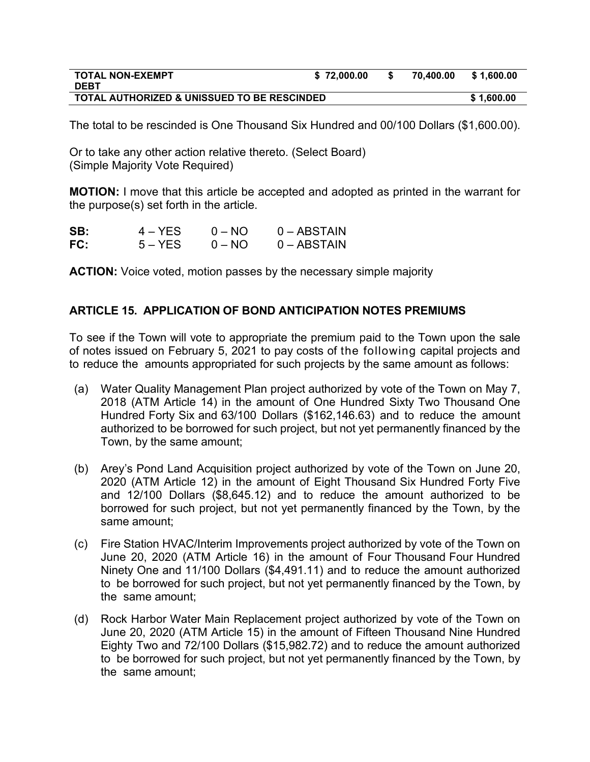| <b>TOTAL NON-EXEMPT</b>                                | \$72.000.00 | 70.400.00 | \$ 1.600.00 |
|--------------------------------------------------------|-------------|-----------|-------------|
| <b>DEBT</b>                                            |             |           |             |
| <b>TOTAL AUTHORIZED &amp; UNISSUED TO BE RESCINDED</b> |             |           | \$1.600.00  |

The total to be rescinded is One Thousand Six Hundred and 00/100 Dollars (\$1,600.00).

Or to take any other action relative thereto. (Select Board) (Simple Majority Vote Required)

**MOTION:** I move that this article be accepted and adopted as printed in the warrant for the purpose(s) set forth in the article.

| SB: | $4 - YES$ | $0 - \text{NO}$ | $0 - ABSTAIN$ |
|-----|-----------|-----------------|---------------|
| FC: | $5 - YES$ | $0 - NQ$        | $0 - ABSTAIN$ |

**ACTION:** Voice voted, motion passes by the necessary simple majority

### **ARTICLE 15. APPLICATION OF BOND ANTICIPATION NOTES PREMIUMS**

To see if the Town will vote to appropriate the premium paid to the Town upon the sale of notes issued on February 5, 2021 to pay costs of the following capital projects and to reduce the amounts appropriated for such projects by the same amount as follows:

- (a) Water Quality Management Plan project authorized by vote of the Town on May 7, 2018 (ATM Article 14) in the amount of One Hundred Sixty Two Thousand One Hundred Forty Six and 63/100 Dollars (\$162,146.63) and to reduce the amount authorized to be borrowed for such project, but not yet permanently financed by the Town, by the same amount;
- (b) Arey's Pond Land Acquisition project authorized by vote of the Town on June 20, 2020 (ATM Article 12) in the amount of Eight Thousand Six Hundred Forty Five and 12/100 Dollars (\$8,645.12) and to reduce the amount authorized to be borrowed for such project, but not yet permanently financed by the Town, by the same amount;
- (c) Fire Station HVAC/Interim Improvements project authorized by vote of the Town on June 20, 2020 (ATM Article 16) in the amount of Four Thousand Four Hundred Ninety One and 11/100 Dollars (\$4,491.11) and to reduce the amount authorized to be borrowed for such project, but not yet permanently financed by the Town, by the same amount;
- (d) Rock Harbor Water Main Replacement project authorized by vote of the Town on June 20, 2020 (ATM Article 15) in the amount of Fifteen Thousand Nine Hundred Eighty Two and 72/100 Dollars (\$15,982.72) and to reduce the amount authorized to be borrowed for such project, but not yet permanently financed by the Town, by the same amount;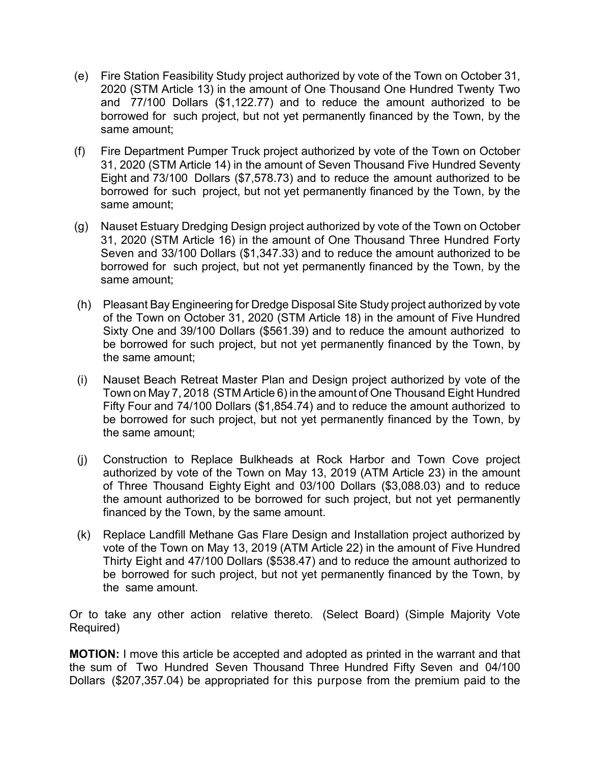- (e) Fire Station Feasibility Study project authorized by vote of the Town on October 31, 2020 (STM Article 13) in the amount of One Thousand One Hundred Twenty Two and 77/100 Dollars (\$1,122.77) and to reduce the amount authorized to be borrowed for such project, but not yet permanently financed by the Town, by the same amount;
- (f) Fire Department Pumper Truck project authorized by vote of the Town on October 31, 2020 (STM Article 14) in the amount of Seven Thousand Five Hundred Seventy Eight and 73/100 Dollars (\$7,578.73) and to reduce the amount authorized to be borrowed for such project, but not yet permanently financed by the Town, by the same amount;
- (g) Nauset Estuary Dredging Design project authorized by vote of the Town on October 31, 2020 (STM Article 16) in the amount of One Thousand Three Hundred Forty Seven and 33/100 Dollars (\$1,347.33) and to reduce the amount authorized to be borrowed for such project, but not yet permanently financed by the Town, by the same amount;
- (h) Pleasant Bay Engineering for Dredge Disposal Site Study project authorized by vote of the Town on October 31, 2020 (STM Article 18) in the amount of Five Hundred Sixty One and 39/100 Dollars (\$561.39) and to reduce the amount authorized to be borrowed for such project, but not yet permanently financed by the Town, by the same amount;
- (i) Nauset Beach Retreat Master Plan and Design project authorized by vote of the Town on May 7, 2018 (STM Article 6) in the amount of One Thousand Eight Hundred Fifty Four and 74/100 Dollars (\$1,854.74) and to reduce the amount authorized to be borrowed for such project, but not yet permanently financed by the Town, by the same amount;
- (j) Construction to Replace Bulkheads at Rock Harbor and Town Cove project authorized by vote of the Town on May 13, 2019 (ATM Article 23) in the amount of Three Thousand Eighty Eight and 03/100 Dollars (\$3,088.03) and to reduce the amount authorized to be borrowed for such project, but not yet permanently financed by the Town, by the same amount.
- (k) Replace Landfill Methane Gas Flare Design and Installation project authorized by vote of the Town on May 13, 2019 (ATM Article 22) in the amount of Five Hundred Thirty Eight and 47/100 Dollars (\$538.47) and to reduce the amount authorized to be borrowed for such project, but not yet permanently financed by the Town, by the same amount.

Or to take any other action relative thereto. (Select Board) (Simple Majority Vote Required)

**MOTION:** I move this article be accepted and adopted as printed in the warrant and that the sum of Two Hundred Seven Thousand Three Hundred Fifty Seven and 04/100 Dollars (\$207,357.04) be appropriated for this purpose from the premium paid to the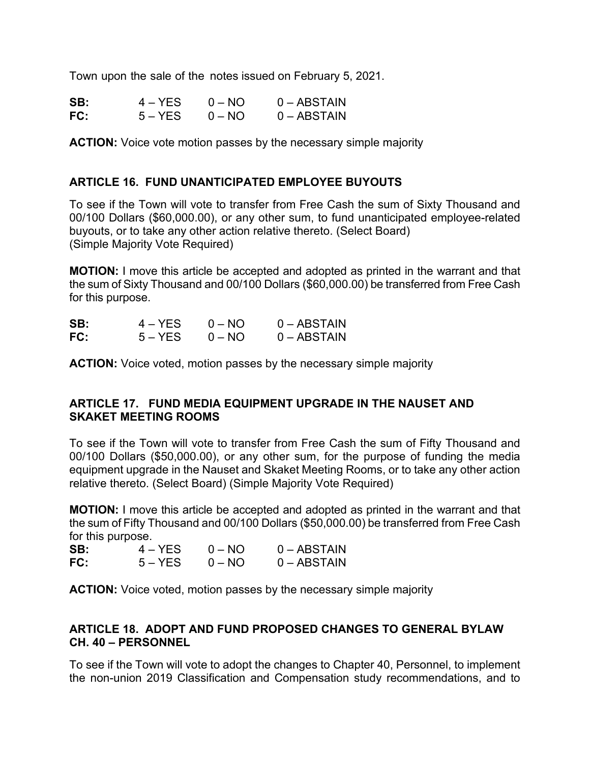Town upon the sale of the notes issued on February 5, 2021.

| SB: | $4 - YES$ | $0 - NQ$ | $0 - ABSTAIN$ |
|-----|-----------|----------|---------------|
| FC: | $5 - YES$ | $0 - NO$ | $0 - ABSTAIN$ |

**ACTION:** Voice vote motion passes by the necessary simple majority

### **ARTICLE 16. FUND UNANTICIPATED EMPLOYEE BUYOUTS**

To see if the Town will vote to transfer from Free Cash the sum of Sixty Thousand and 00/100 Dollars (\$60,000.00), or any other sum, to fund unanticipated employee-related buyouts, or to take any other action relative thereto. (Select Board) (Simple Majority Vote Required)

**MOTION:** I move this article be accepted and adopted as printed in the warrant and that the sum of Sixty Thousand and 00/100 Dollars (\$60,000.00) be transferred from Free Cash for this purpose.

| SB: | $4 - YES$ | $0 - NO$ | $0 - ABSTAIN$ |
|-----|-----------|----------|---------------|
| FC: | $5 - YES$ | $0 - NO$ | $0 - ABSTAIN$ |

**ACTION:** Voice voted, motion passes by the necessary simple majority

### **ARTICLE 17. FUND MEDIA EQUIPMENT UPGRADE IN THE NAUSET AND SKAKET MEETING ROOMS**

To see if the Town will vote to transfer from Free Cash the sum of Fifty Thousand and 00/100 Dollars (\$50,000.00), or any other sum, for the purpose of funding the media equipment upgrade in the Nauset and Skaket Meeting Rooms, or to take any other action relative thereto. (Select Board) (Simple Majority Vote Required)

**MOTION:** I move this article be accepted and adopted as printed in the warrant and that the sum of Fifty Thousand and 00/100 Dollars (\$50,000.00) be transferred from Free Cash for this purpose.

| SB: | $4 - YES$ | $0 - NO$ | $0 - ABSTAIN$ |
|-----|-----------|----------|---------------|
| FC: | $5 - YES$ | $0 - NO$ | $0 - ABSTAIN$ |

**ACTION:** Voice voted, motion passes by the necessary simple majority

### **ARTICLE 18. ADOPT AND FUND PROPOSED CHANGES TO GENERAL BYLAW CH. 40 – PERSONNEL**

To see if the Town will vote to adopt the changes to Chapter 40, Personnel, to implement the non-union 2019 Classification and Compensation study recommendations, and to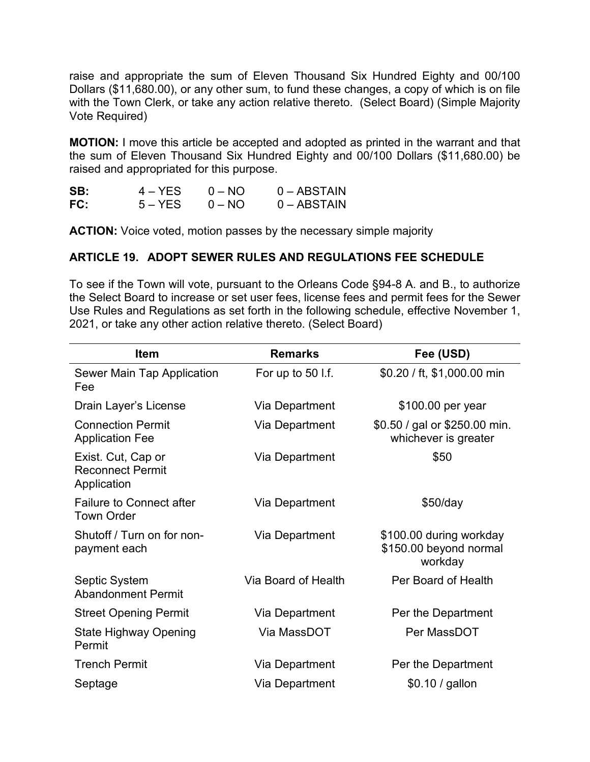raise and appropriate the sum of Eleven Thousand Six Hundred Eighty and 00/100 Dollars (\$11,680.00), or any other sum, to fund these changes, a copy of which is on file with the Town Clerk, or take any action relative thereto. (Select Board) (Simple Majority Vote Required)

**MOTION:** I move this article be accepted and adopted as printed in the warrant and that the sum of Eleven Thousand Six Hundred Eighty and 00/100 Dollars (\$11,680.00) be raised and appropriated for this purpose.

| SB: | 4 – YES   | $0 - NO$ | $0 - ABSTAIN$ |
|-----|-----------|----------|---------------|
| FC: | $5 - YES$ | $0 - NO$ | $0 - ABSTAIN$ |

**ACTION:** Voice voted, motion passes by the necessary simple majority

## **ARTICLE 19. ADOPT SEWER RULES AND REGULATIONS FEE SCHEDULE**

To see if the Town will vote, pursuant to the Orleans Code §94-8 A. and B., to authorize the Select Board to increase or set user fees, license fees and permit fees for the Sewer Use Rules and Regulations as set forth in the following schedule, effective November 1, 2021, or take any other action relative thereto. (Select Board)

| <b>Item</b>                                                  | <b>Remarks</b>      | Fee (USD)                                                    |
|--------------------------------------------------------------|---------------------|--------------------------------------------------------------|
| Sewer Main Tap Application<br>Fee                            | For up to 50 l.f.   | \$0.20 / ft, \$1,000.00 min                                  |
| Drain Layer's License                                        | Via Department      | \$100.00 per year                                            |
| <b>Connection Permit</b><br><b>Application Fee</b>           | Via Department      | \$0.50 / gal or \$250.00 min.<br>whichever is greater        |
| Exist. Cut, Cap or<br><b>Reconnect Permit</b><br>Application | Via Department      | \$50                                                         |
| <b>Failure to Connect after</b><br><b>Town Order</b>         | Via Department      | $$50$ /day                                                   |
| Shutoff / Turn on for non-<br>payment each                   | Via Department      | \$100.00 during workday<br>\$150.00 beyond normal<br>workday |
| Septic System<br><b>Abandonment Permit</b>                   | Via Board of Health | Per Board of Health                                          |
| <b>Street Opening Permit</b>                                 | Via Department      | Per the Department                                           |
| <b>State Highway Opening</b><br>Permit                       | Via MassDOT         | Per MassDOT                                                  |
| <b>Trench Permit</b>                                         | Via Department      | Per the Department                                           |
| Septage                                                      | Via Department      | \$0.10 / gallon                                              |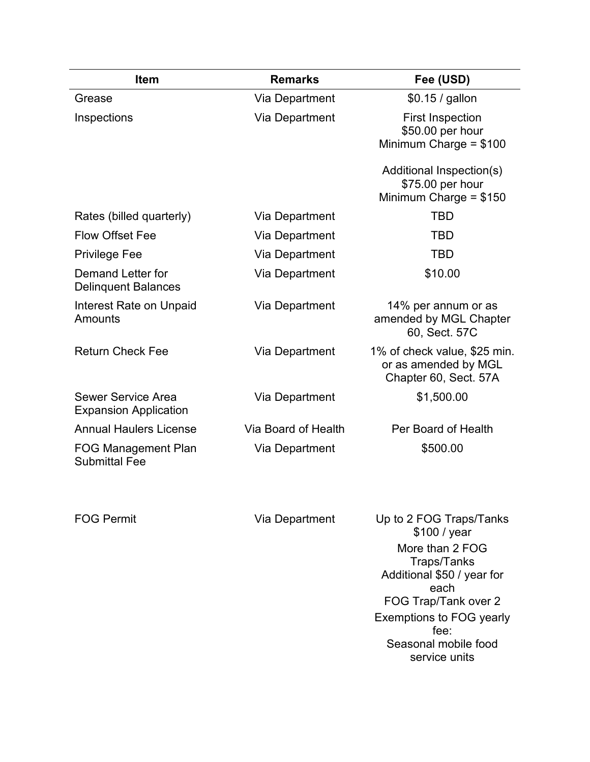| <b>Item</b>                                        | <b>Remarks</b>      | Fee (USD)                                                                     |
|----------------------------------------------------|---------------------|-------------------------------------------------------------------------------|
| Grease                                             | Via Department      | $$0.15 /$ gallon                                                              |
| Inspections                                        | Via Department      | <b>First Inspection</b><br>\$50.00 per hour<br>Minimum Charge = $$100$        |
|                                                    |                     | Additional Inspection(s)<br>\$75.00 per hour<br>Minimum Charge = $$150$       |
| Rates (billed quarterly)                           | Via Department      | <b>TBD</b>                                                                    |
| <b>Flow Offset Fee</b>                             | Via Department      | <b>TBD</b>                                                                    |
| <b>Privilege Fee</b>                               | Via Department      | <b>TBD</b>                                                                    |
| Demand Letter for<br><b>Delinquent Balances</b>    | Via Department      | \$10.00                                                                       |
| Interest Rate on Unpaid<br>Amounts                 | Via Department      | 14% per annum or as<br>amended by MGL Chapter<br>60, Sect. 57C                |
| <b>Return Check Fee</b>                            | Via Department      | 1% of check value, \$25 min.<br>or as amended by MGL<br>Chapter 60, Sect. 57A |
| Sewer Service Area<br><b>Expansion Application</b> | Via Department      | \$1,500.00                                                                    |
| <b>Annual Haulers License</b>                      | Via Board of Health | Per Board of Health                                                           |
| <b>FOG Management Plan</b><br><b>Submittal Fee</b> | Via Department      | \$500.00                                                                      |
| <b>FOG Permit</b>                                  | Via Department      | Up to 2 FOG Traps/Tanks                                                       |

\$100 / year More than 2 FOG Traps/Tanks Additional \$50 / year for each FOG Trap/Tank over 2 Exemptions to FOG yearly fee: Seasonal mobile food service units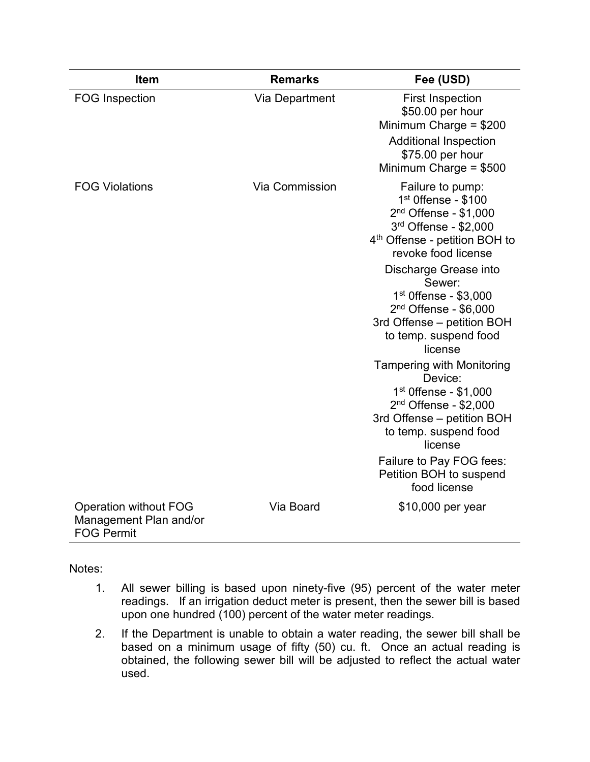| <b>Item</b>                                                                 | <b>Remarks</b> | Fee (USD)                                                                                                                                                           |
|-----------------------------------------------------------------------------|----------------|---------------------------------------------------------------------------------------------------------------------------------------------------------------------|
| <b>FOG Inspection</b>                                                       | Via Department | <b>First Inspection</b><br>\$50.00 per hour<br>Minimum Charge = $$200$                                                                                              |
|                                                                             |                | <b>Additional Inspection</b><br>\$75.00 per hour<br>Minimum Charge = \$500                                                                                          |
| <b>FOG Violations</b>                                                       | Via Commission | Failure to pump:<br>$1st$ Offense - \$100<br>$2nd$ Offense - \$1,000<br>3rd Offense - \$2,000<br>4 <sup>th</sup> Offense - petition BOH to<br>revoke food license   |
|                                                                             |                | Discharge Grease into<br>Sewer:<br>$1st$ Offense - \$3,000<br>2 <sup>nd</sup> Offense - \$6,000<br>3rd Offense - petition BOH<br>to temp. suspend food<br>license   |
|                                                                             |                | <b>Tampering with Monitoring</b><br>Device:<br>$1st$ Offense - \$1,000<br>$2nd$ Offense - \$2,000<br>3rd Offense - petition BOH<br>to temp. suspend food<br>license |
|                                                                             |                | Failure to Pay FOG fees:<br>Petition BOH to suspend<br>food license                                                                                                 |
| <b>Operation without FOG</b><br>Management Plan and/or<br><b>FOG Permit</b> | Via Board      | \$10,000 per year                                                                                                                                                   |

Notes:

- 1. All sewer billing is based upon ninety-five (95) percent of the water meter readings. If an irrigation deduct meter is present, then the sewer bill is based upon one hundred (100) percent of the water meter readings.
- 2. If the Department is unable to obtain a water reading, the sewer bill shall be based on a minimum usage of fifty (50) cu. ft. Once an actual reading is obtained, the following sewer bill will be adjusted to reflect the actual water used.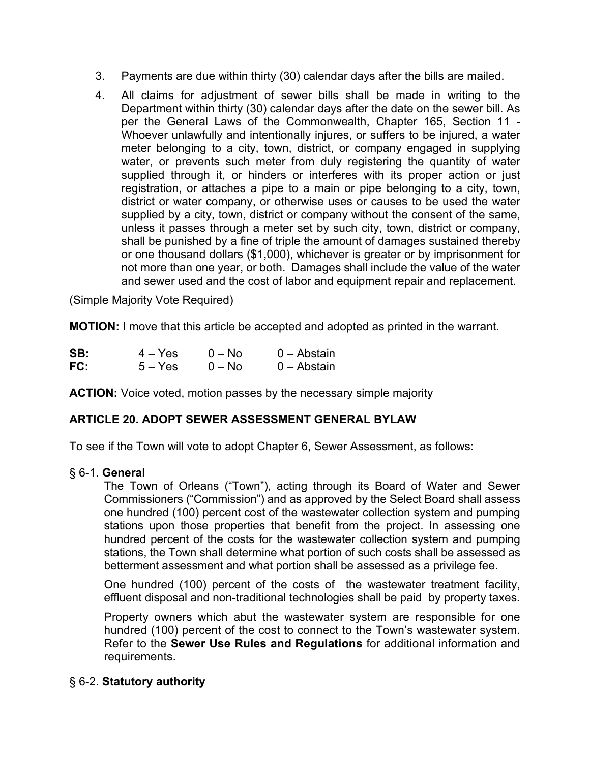- 3. Payments are due within thirty (30) calendar days after the bills are mailed.
- 4. All claims for adjustment of sewer bills shall be made in writing to the Department within thirty (30) calendar days after the date on the sewer bill. As per the General Laws of the Commonwealth, Chapter 165, Section 11 - Whoever unlawfully and intentionally injures, or suffers to be injured, a water meter belonging to a city, town, district, or company engaged in supplying water, or prevents such meter from duly registering the quantity of water supplied through it, or hinders or interferes with its proper action or just registration, or attaches a pipe to a main or pipe belonging to a city, town, district or water company, or otherwise uses or causes to be used the water supplied by a city, town, district or company without the consent of the same, unless it passes through a meter set by such city, town, district or company, shall be punished by a fine of triple the amount of damages sustained thereby or one thousand dollars (\$1,000), whichever is greater or by imprisonment for not more than one year, or both. Damages shall include the value of the water and sewer used and the cost of labor and equipment repair and replacement.

(Simple Majority Vote Required)

**MOTION:** I move that this article be accepted and adopted as printed in the warrant.

| SB: | $4 - Yes$ | $0 - No$ | 0 – Abstain   |
|-----|-----------|----------|---------------|
| FC: | $5 - Yes$ | $0 - No$ | $0 -$ Abstain |

**ACTION:** Voice voted, motion passes by the necessary simple majority

# **ARTICLE 20. ADOPT SEWER ASSESSMENT GENERAL BYLAW**

To see if the Town will vote to adopt Chapter 6, Sewer Assessment, as follows:

### § 6-1. **General**

The Town of Orleans ("Town"), acting through its Board of Water and Sewer Commissioners ("Commission") and as approved by the Select Board shall assess one hundred (100) percent cost of the wastewater collection system and pumping stations upon those properties that benefit from the project. In assessing one hundred percent of the costs for the wastewater collection system and pumping stations, the Town shall determine what portion of such costs shall be assessed as betterment assessment and what portion shall be assessed as a privilege fee.

One hundred (100) percent of the costs of the wastewater treatment facility, effluent disposal and non-traditional technologies shall be paid by property taxes.

Property owners which abut the wastewater system are responsible for one hundred (100) percent of the cost to connect to the Town's wastewater system. Refer to the **Sewer Use Rules and Regulations** for additional information and requirements.

### § 6-2. **Statutory authority**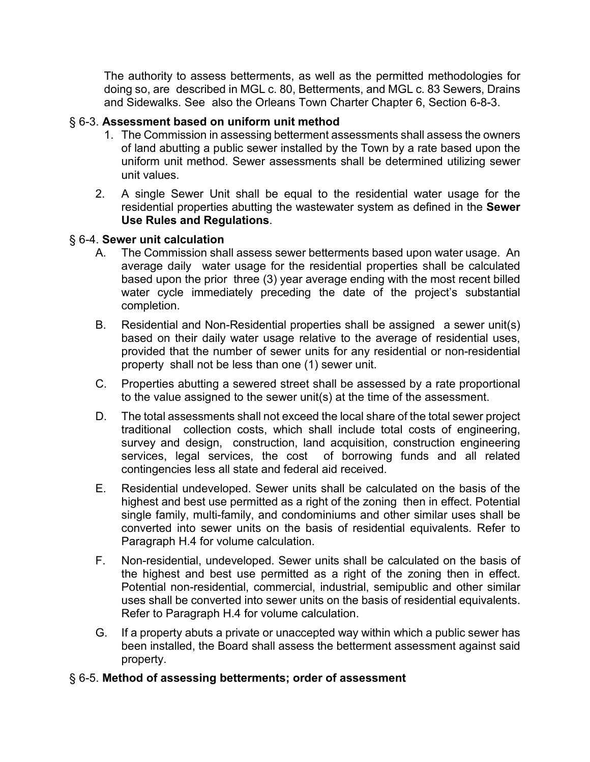The authority to assess betterments, as well as the permitted methodologies for doing so, are described in MGL c. 80, Betterments, and MGL c. 83 Sewers, Drains and Sidewalks. See also the Orleans Town Charter Chapter 6, Section 6-8-3.

# § 6-3. **Assessment based on uniform unit method**

- 1. The Commission in assessing betterment assessments shall assess the owners of land abutting a public sewer installed by the Town by a rate based upon the uniform unit method. Sewer assessments shall be determined utilizing sewer unit values.
- 2. A single Sewer Unit shall be equal to the residential water usage for the residential properties abutting the wastewater system as defined in the **Sewer Use Rules and Regulations**.

### § 6-4. **Sewer unit calculation**

- A. The Commission shall assess sewer betterments based upon water usage. An average daily water usage for the residential properties shall be calculated based upon the prior three (3) year average ending with the most recent billed water cycle immediately preceding the date of the project's substantial completion.
- B. Residential and Non-Residential properties shall be assigned a sewer unit(s) based on their daily water usage relative to the average of residential uses, provided that the number of sewer units for any residential or non-residential property shall not be less than one (1) sewer unit.
- C. Properties abutting a sewered street shall be assessed by a rate proportional to the value assigned to the sewer unit(s) at the time of the assessment.
- D. The total assessments shall not exceed the local share of the total sewer project traditional collection costs, which shall include total costs of engineering, survey and design, construction, land acquisition, construction engineering services, legal services, the cost of borrowing funds and all related contingencies less all state and federal aid received.
- E. Residential undeveloped. Sewer units shall be calculated on the basis of the highest and best use permitted as a right of the zoning then in effect. Potential single family, multi-family, and condominiums and other similar uses shall be converted into sewer units on the basis of residential equivalents. Refer to Paragraph H.4 for volume calculation.
- F. Non-residential, undeveloped. Sewer units shall be calculated on the basis of the highest and best use permitted as a right of the zoning then in effect. Potential non-residential, commercial, industrial, semipublic and other similar uses shall be converted into sewer units on the basis of residential equivalents. Refer to Paragraph H.4 for volume calculation.
- G. If a property abuts a private or unaccepted way within which a public sewer has been installed, the Board shall assess the betterment assessment against said property.

# § 6-5. **Method of assessing betterments; order of assessment**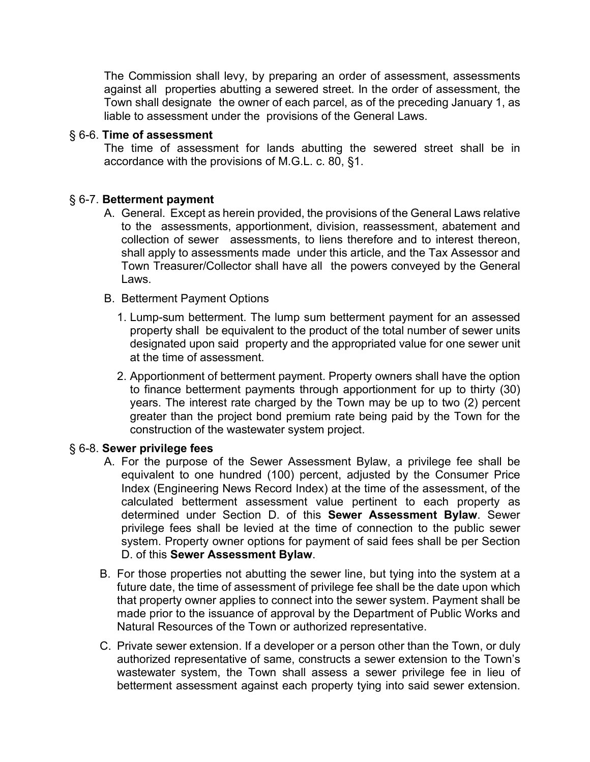The Commission shall levy, by preparing an order of assessment, assessments against all properties abutting a sewered street. In the order of assessment, the Town shall designate the owner of each parcel, as of the preceding January 1, as liable to assessment under the provisions of the General Laws.

#### § 6-6. **Time of assessment**

The time of assessment for lands abutting the sewered street shall be in accordance with the provisions of M.G.L. c. 80, §1.

### § 6-7. **Betterment payment**

- A. General. Except as herein provided, the provisions of the General Laws relative to the assessments, apportionment, division, reassessment, abatement and collection of sewer assessments, to liens therefore and to interest thereon, shall apply to assessments made under this article, and the Tax Assessor and Town Treasurer/Collector shall have all the powers conveyed by the General Laws.
- B. Betterment Payment Options
	- 1. Lump-sum betterment. The lump sum betterment payment for an assessed property shall be equivalent to the product of the total number of sewer units designated upon said property and the appropriated value for one sewer unit at the time of assessment.
	- 2. Apportionment of betterment payment. Property owners shall have the option to finance betterment payments through apportionment for up to thirty (30) years. The interest rate charged by the Town may be up to two (2) percent greater than the project bond premium rate being paid by the Town for the construction of the wastewater system project.

### § 6-8. **Sewer privilege fees**

- A. For the purpose of the Sewer Assessment Bylaw, a privilege fee shall be equivalent to one hundred (100) percent, adjusted by the Consumer Price Index (Engineering News Record Index) at the time of the assessment, of the calculated betterment assessment value pertinent to each property as determined under Section D. of this **Sewer Assessment Bylaw**. Sewer privilege fees shall be levied at the time of connection to the public sewer system. Property owner options for payment of said fees shall be per Section D. of this **Sewer Assessment Bylaw**.
- B. For those properties not abutting the sewer line, but tying into the system at a future date, the time of assessment of privilege fee shall be the date upon which that property owner applies to connect into the sewer system. Payment shall be made prior to the issuance of approval by the Department of Public Works and Natural Resources of the Town or authorized representative.
- C. Private sewer extension. If a developer or a person other than the Town, or duly authorized representative of same, constructs a sewer extension to the Town's wastewater system, the Town shall assess a sewer privilege fee in lieu of betterment assessment against each property tying into said sewer extension.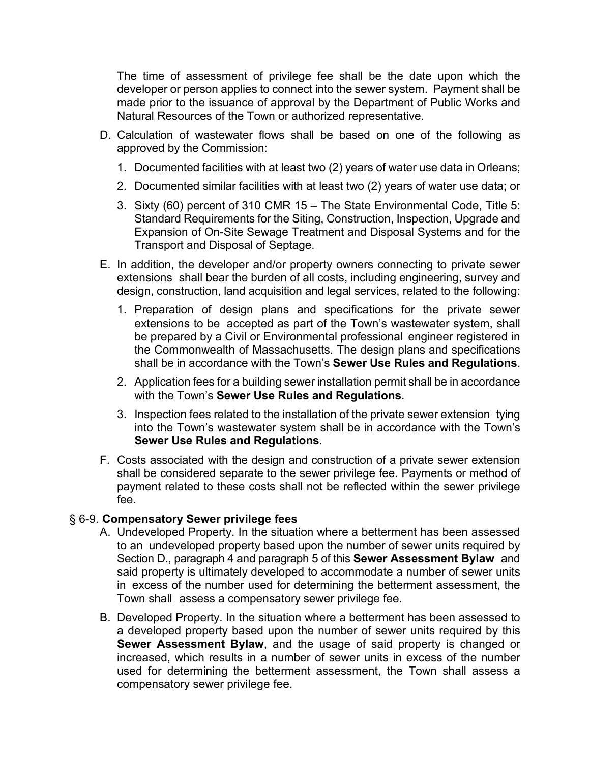The time of assessment of privilege fee shall be the date upon which the developer or person applies to connect into the sewer system. Payment shall be made prior to the issuance of approval by the Department of Public Works and Natural Resources of the Town or authorized representative.

- D. Calculation of wastewater flows shall be based on one of the following as approved by the Commission:
	- 1. Documented facilities with at least two (2) years of water use data in Orleans;
	- 2. Documented similar facilities with at least two (2) years of water use data; or
	- 3. Sixty (60) percent of 310 CMR 15 The State Environmental Code, Title 5: Standard Requirements for the Siting, Construction, Inspection, Upgrade and Expansion of On-Site Sewage Treatment and Disposal Systems and for the Transport and Disposal of Septage.
- E. In addition, the developer and/or property owners connecting to private sewer extensions shall bear the burden of all costs, including engineering, survey and design, construction, land acquisition and legal services, related to the following:
	- 1. Preparation of design plans and specifications for the private sewer extensions to be accepted as part of the Town's wastewater system, shall be prepared by a Civil or Environmental professional engineer registered in the Commonwealth of Massachusetts. The design plans and specifications shall be in accordance with the Town's **Sewer Use Rules and Regulations**.
	- 2. Application fees for a building sewer installation permit shall be in accordance with the Town's **Sewer Use Rules and Regulations**.
	- 3. Inspection fees related to the installation of the private sewer extension tying into the Town's wastewater system shall be in accordance with the Town's **Sewer Use Rules and Regulations**.
- F. Costs associated with the design and construction of a private sewer extension shall be considered separate to the sewer privilege fee. Payments or method of payment related to these costs shall not be reflected within the sewer privilege fee.

### § 6-9. **Compensatory Sewer privilege fees**

- A. Undeveloped Property. In the situation where a betterment has been assessed to an undeveloped property based upon the number of sewer units required by Section D., paragraph 4 and paragraph 5 of this **Sewer Assessment Bylaw** and said property is ultimately developed to accommodate a number of sewer units in excess of the number used for determining the betterment assessment, the Town shall assess a compensatory sewer privilege fee.
- B. Developed Property. In the situation where a betterment has been assessed to a developed property based upon the number of sewer units required by this **Sewer Assessment Bylaw**, and the usage of said property is changed or increased, which results in a number of sewer units in excess of the number used for determining the betterment assessment, the Town shall assess a compensatory sewer privilege fee.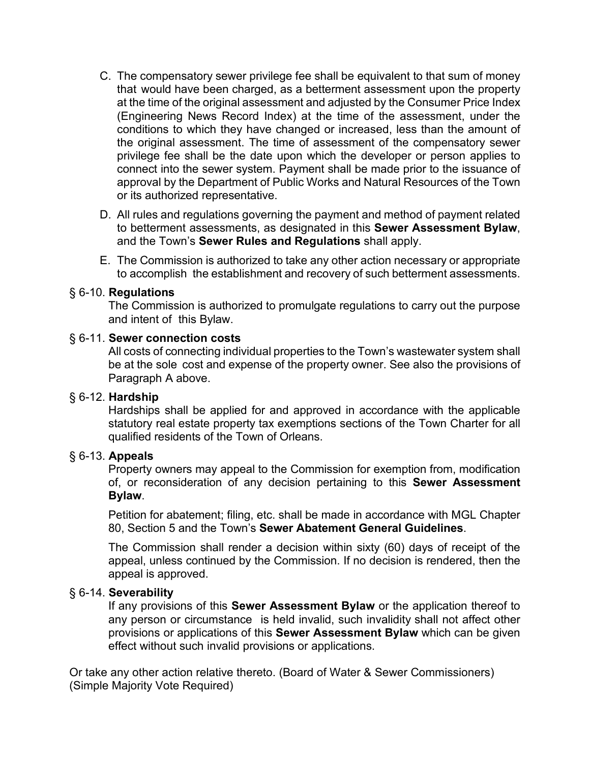- C. The compensatory sewer privilege fee shall be equivalent to that sum of money that would have been charged, as a betterment assessment upon the property at the time of the original assessment and adjusted by the Consumer Price Index (Engineering News Record Index) at the time of the assessment, under the conditions to which they have changed or increased, less than the amount of the original assessment. The time of assessment of the compensatory sewer privilege fee shall be the date upon which the developer or person applies to connect into the sewer system. Payment shall be made prior to the issuance of approval by the Department of Public Works and Natural Resources of the Town or its authorized representative.
- D. All rules and regulations governing the payment and method of payment related to betterment assessments, as designated in this **Sewer Assessment Bylaw**, and the Town's **Sewer Rules and Regulations** shall apply.
- E. The Commission is authorized to take any other action necessary or appropriate to accomplish the establishment and recovery of such betterment assessments.

#### § 6-10. **Regulations**

The Commission is authorized to promulgate regulations to carry out the purpose and intent of this Bylaw.

#### § 6-11. **Sewer connection costs**

All costs of connecting individual properties to the Town's wastewater system shall be at the sole cost and expense of the property owner. See also the provisions of Paragraph A above.

### § 6-12. **Hardship**

Hardships shall be applied for and approved in accordance with the applicable statutory real estate property tax exemptions sections of the Town Charter for all qualified residents of the Town of Orleans.

#### § 6-13. **Appeals**

Property owners may appeal to the Commission for exemption from, modification of, or reconsideration of any decision pertaining to this **Sewer Assessment Bylaw**.

Petition for abatement; filing, etc. shall be made in accordance with MGL Chapter 80, Section 5 and the Town's **Sewer Abatement General Guidelines**.

The Commission shall render a decision within sixty (60) days of receipt of the appeal, unless continued by the Commission. If no decision is rendered, then the appeal is approved.

#### § 6-14. **Severability**

If any provisions of this **Sewer Assessment Bylaw** or the application thereof to any person or circumstance is held invalid, such invalidity shall not affect other provisions or applications of this **Sewer Assessment Bylaw** which can be given effect without such invalid provisions or applications.

Or take any other action relative thereto. (Board of Water & Sewer Commissioners) (Simple Majority Vote Required)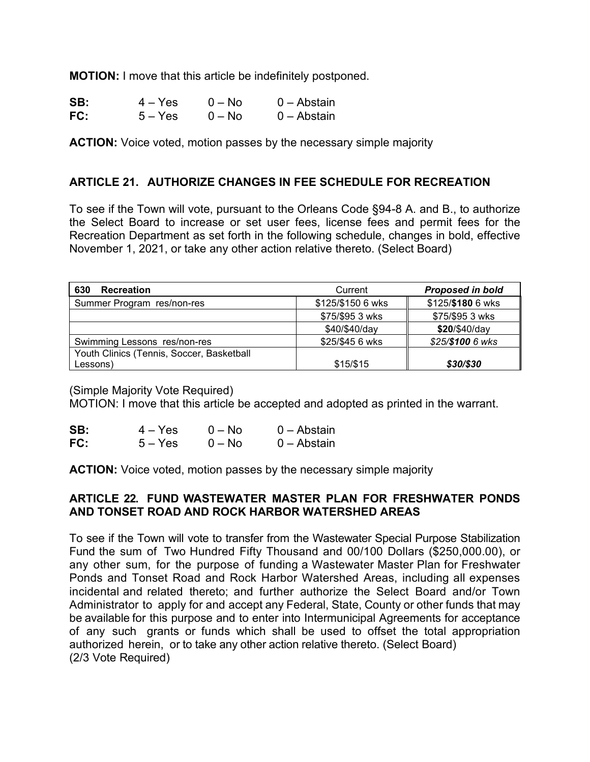**MOTION:** I move that this article be indefinitely postponed.

| SB: | $4 - Yes$ | $0 - No$ | 0 – Abstain |
|-----|-----------|----------|-------------|
| FC: | $5 - Yes$ | $0 - No$ | 0 – Abstain |

**ACTION:** Voice voted, motion passes by the necessary simple majority

# **ARTICLE 21. AUTHORIZE CHANGES IN FEE SCHEDULE FOR RECREATION**

To see if the Town will vote, pursuant to the Orleans Code §94-8 A. and B., to authorize the Select Board to increase or set user fees, license fees and permit fees for the Recreation Department as set forth in the following schedule, changes in bold, effective November 1, 2021, or take any other action relative thereto. (Select Board)

| 630<br><b>Recreation</b>                  | Current           | <b>Proposed in bold</b> |
|-------------------------------------------|-------------------|-------------------------|
| Summer Program res/non-res                | \$125/\$150 6 wks | \$125/\$180 6 wks       |
|                                           | \$75/\$95 3 wks   | \$75/\$95 3 wks         |
|                                           | \$40/\$40/day     | \$20/\$40/day           |
| Swimming Lessons res/non-res              | \$25/\$45 6 wks   | \$25/\$100 6 wks        |
| Youth Clinics (Tennis, Soccer, Basketball |                   |                         |
| Lessons)                                  | \$15/\$15         | \$30/\$30               |

(Simple Majority Vote Required)

MOTION: I move that this article be accepted and adopted as printed in the warrant.

| SB: | $4 - Yes$ | $0 - No$ | $0 -$ Abstain |
|-----|-----------|----------|---------------|
| FC: | $5 - Yes$ | $0 - No$ | $0 -$ Abstain |

**ACTION:** Voice voted, motion passes by the necessary simple majority

## **ARTICLE 22. FUND WASTEWATER MASTER PLAN FOR FRESHWATER PONDS AND TONSET ROAD AND ROCK HARBOR WATERSHED AREAS**

To see if the Town will vote to transfer from the Wastewater Special Purpose Stabilization Fund the sum of Two Hundred Fifty Thousand and 00/100 Dollars (\$250,000.00), or any other sum, for the purpose of funding a Wastewater Master Plan for Freshwater Ponds and Tonset Road and Rock Harbor Watershed Areas, including all expenses incidental and related thereto; and further authorize the Select Board and/or Town Administrator to apply for and accept any Federal, State, County or other funds that may be available for this purpose and to enter into Intermunicipal Agreements for acceptance of any such grants or funds which shall be used to offset the total appropriation authorized herein, or to take any other action relative thereto. (Select Board) (2/3 Vote Required)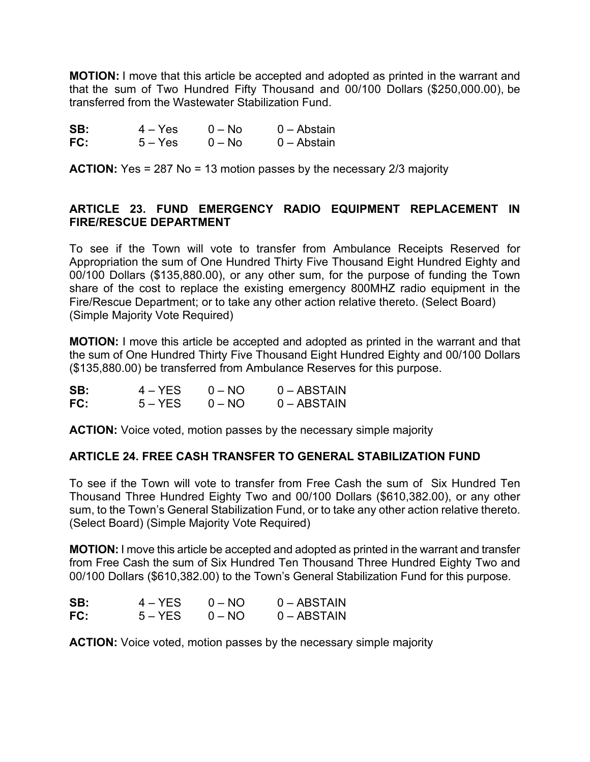**MOTION:** I move that this article be accepted and adopted as printed in the warrant and that the sum of Two Hundred Fifty Thousand and 00/100 Dollars (\$250,000.00), be transferred from the Wastewater Stabilization Fund.

**SB:** 4 – Yes 0 – No 0 – Abstain **FC:** 5 – Yes 0 – No 0 – Abstain

**ACTION:** Yes = 287 No = 13 motion passes by the necessary 2/3 majority

### **ARTICLE 23. FUND EMERGENCY RADIO EQUIPMENT REPLACEMENT IN FIRE/RESCUE DEPARTMENT**

To see if the Town will vote to transfer from Ambulance Receipts Reserved for Appropriation the sum of One Hundred Thirty Five Thousand Eight Hundred Eighty and 00/100 Dollars (\$135,880.00), or any other sum, for the purpose of funding the Town share of the cost to replace the existing emergency 800MHZ radio equipment in the Fire/Rescue Department; or to take any other action relative thereto. (Select Board) (Simple Majority Vote Required)

**MOTION:** I move this article be accepted and adopted as printed in the warrant and that the sum of One Hundred Thirty Five Thousand Eight Hundred Eighty and 00/100 Dollars (\$135,880.00) be transferred from Ambulance Reserves for this purpose.

| SB: | $4 - YES$ | $0 - NO$ | $0 - ABSTAIN$ |
|-----|-----------|----------|---------------|
| FC: | $5 - YES$ | $0 - NO$ | $0 - ABSTAIN$ |

**ACTION:** Voice voted, motion passes by the necessary simple majority

### **ARTICLE 24. FREE CASH TRANSFER TO GENERAL STABILIZATION FUND**

To see if the Town will vote to transfer from Free Cash the sum of Six Hundred Ten Thousand Three Hundred Eighty Two and 00/100 Dollars (\$610,382.00), or any other sum, to the Town's General Stabilization Fund, or to take any other action relative thereto. (Select Board) (Simple Majority Vote Required)

**MOTION:** I move this article be accepted and adopted as printed in the warrant and transfer from Free Cash the sum of Six Hundred Ten Thousand Three Hundred Eighty Two and 00/100 Dollars (\$610,382.00) to the Town's General Stabilization Fund for this purpose.

| SB: | $4 - YFS$ | $0 - NO$ | $0 - ABSTAIN$ |
|-----|-----------|----------|---------------|
| FC: | $5 - YES$ | $0 - NO$ | $0 - ABSTAIN$ |

**ACTION:** Voice voted, motion passes by the necessary simple majority